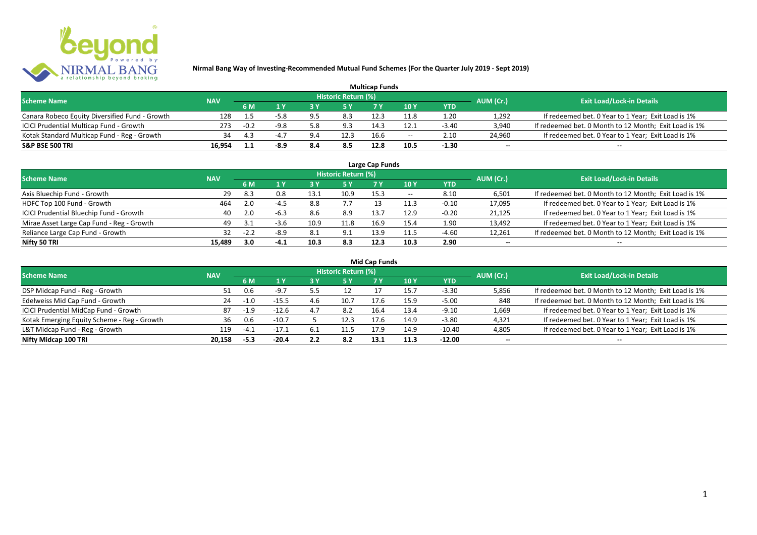

| <b>Multicap Funds</b>                          |            |        |        |     |                            |      |                          |         |                          |                                                       |  |  |
|------------------------------------------------|------------|--------|--------|-----|----------------------------|------|--------------------------|---------|--------------------------|-------------------------------------------------------|--|--|
| <b>Scheme Name</b>                             | <b>NAV</b> |        |        |     | <b>Historic Return (%)</b> |      |                          |         | AUM (Cr.)                | <b>Exit Load/Lock-in Details</b>                      |  |  |
|                                                |            | 6 M    |        |     |                            |      | 10Y                      | YTD     |                          |                                                       |  |  |
| Canara Robeco Equity Diversified Fund - Growth | 128        |        | -5.8   |     | 8.3                        |      | 11.8                     | 1.20    | 1,292                    | If redeemed bet. 0 Year to 1 Year; Exit Load is 1%    |  |  |
| ICICI Prudential Multicap Fund - Growth        | 273        | $-0.2$ | $-9.8$ | .38 | 9.3                        | 14.3 | 12.1                     | $-3.40$ | 3,940                    | If redeemed bet. 0 Month to 12 Month; Exit Load is 1% |  |  |
| Kotak Standard Multicap Fund - Reg - Growth    | 34         |        |        |     | 12.3                       | 16.6 | $\overline{\phantom{a}}$ | 2.10    | 24,960                   | If redeemed bet. 0 Year to 1 Year; Exit Load is 1%    |  |  |
| S&P BSE 500 TRI                                | 16.954     |        |        | 8.4 | 8.5                        | 12.8 |                          | $-1.30$ | $\overline{\phantom{a}}$ | $\overline{\phantom{a}}$                              |  |  |

| Large Cap Funds<br>Historic Return (%)    |            |        |        |      |      |      |       |            |                          |                                                       |  |  |  |
|-------------------------------------------|------------|--------|--------|------|------|------|-------|------------|--------------------------|-------------------------------------------------------|--|--|--|
| <b>Scheme Name</b>                        | <b>NAV</b> |        |        |      |      |      |       |            | AUM (Cr.)                | <b>Exit Load/Lock-in Details</b>                      |  |  |  |
|                                           |            | 6 M    | 1 Y    |      | 5 Y  |      | 10Y   | <b>YTD</b> |                          |                                                       |  |  |  |
| Axis Bluechip Fund - Growth               | 29         | 8.3    | 0.8    | 13.1 | 10.9 | 15.3 | $- -$ | 8.10       | 6,501                    | If redeemed bet. 0 Month to 12 Month; Exit Load is 1% |  |  |  |
| HDFC Top 100 Fund - Growth                | 464        | 2.0    | $-4.5$ | 8.8  |      |      | 11.3  | $-0.10$    | 17,095                   | If redeemed bet. 0 Year to 1 Year; Exit Load is 1%    |  |  |  |
| ICICI Prudential Bluechip Fund - Growth   | 40         | 2.0    | $-6.3$ | 8.6  | 8.9  | 13.7 | 12.9  | $-0.20$    | 21,125                   | If redeemed bet. 0 Year to 1 Year; Exit Load is 1%    |  |  |  |
| Mirae Asset Large Cap Fund - Reg - Growth | 49         | 3.1    | $-3.6$ | 10.9 | 11.8 | 16.9 | 15.4  | 1.90       | 13,492                   | If redeemed bet. 0 Year to 1 Year; Exit Load is 1%    |  |  |  |
| Reliance Large Cap Fund - Growth          |            | $-2.2$ | $-8.9$ | 8.1  | 9.1  | 13.9 |       | $-4.60$    | 12,261                   | If redeemed bet. 0 Month to 12 Month; Exit Load is 1% |  |  |  |
| Nifty 50 TRI                              | 15.489     | 3.0    | $-4.1$ | 10.3 | 8.3  | 12.3 | 10.3  | 2.90       | $\overline{\phantom{a}}$ | $\overline{\phantom{a}}$                              |  |  |  |

|  | <b>Mid Cap Funds</b> |
|--|----------------------|

| <b>Scheme Name</b>                          | <b>NAV</b> |        |         |     | Historic Return (%) |      |      |            | AUM (Cr.)                | <b>Exit Load/Lock-in Details</b>                      |
|---------------------------------------------|------------|--------|---------|-----|---------------------|------|------|------------|--------------------------|-------------------------------------------------------|
|                                             |            | 6 M    |         |     | 5 Y                 |      | 10 Y | <b>YTD</b> |                          |                                                       |
| DSP Midcap Fund - Reg - Growth              | 51         | 0.6    | $-9.7$  |     |                     |      | 15.7 | $-3.30$    | 5,856                    | If redeemed bet. 0 Month to 12 Month; Exit Load is 1% |
| Edelweiss Mid Cap Fund - Growth             | 24         |        | $-15.5$ | 4.6 | 10.7                |      | 15.9 | $-5.00$    | 848                      | If redeemed bet. 0 Month to 12 Month; Exit Load is 1% |
| ICICI Prudential MidCap Fund - Growth       | 87         | $-1.9$ | $-12.6$ | 4.7 | 8.2                 | 16.4 | 13.4 | $-9.10$    | 1,669                    | If redeemed bet. 0 Year to 1 Year; Exit Load is 1%    |
| Kotak Emerging Equity Scheme - Reg - Growth | 36         | 0.6    | $-10.7$ |     | 12.3                |      | 14.9 | $-3.80$    | 4,321                    | If redeemed bet. 0 Year to 1 Year; Exit Load is 1%    |
| L&T Midcap Fund - Reg - Growth              | 119        | $-4.1$ | $-17.1$ |     | 11.5                | 17.9 | 14.9 | $-10.40$   | 4,805                    | If redeemed bet. 0 Year to 1 Year; Exit Load is 1%    |
| Nifty Midcap 100 TRI                        | 20.158     | $-5.3$ | $-20.4$ | 2.2 | 8.2                 | 13.1 | 11.3 | $-12.00$   | $\overline{\phantom{a}}$ | $\qquad \qquad$                                       |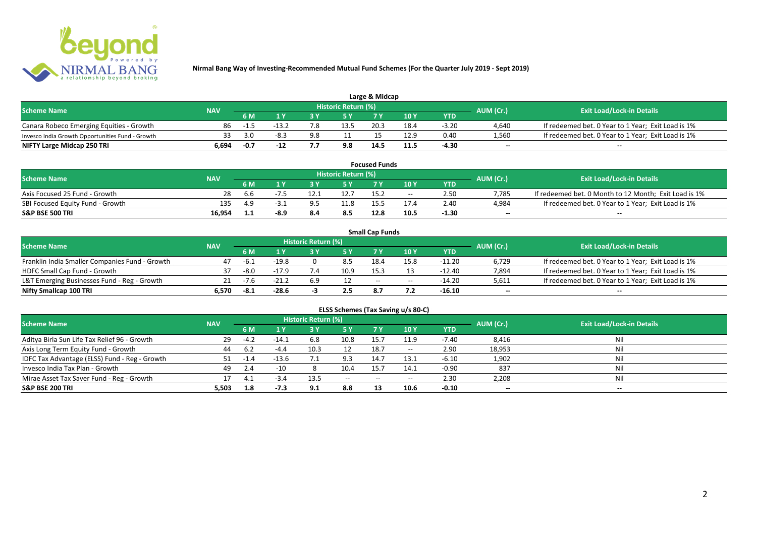

| Large & Midcap                                   |            |      |      |     |                     |      |      |         |                          |                                                    |  |  |
|--------------------------------------------------|------------|------|------|-----|---------------------|------|------|---------|--------------------------|----------------------------------------------------|--|--|
| <b>Scheme Name</b>                               | <b>NAV</b> |      |      |     | Historic Return (%) |      |      |         | AUM (Cr.)                | <b>Exit Load/Lock-in Details</b>                   |  |  |
|                                                  |            | 6 M  |      |     |                     | 7 M  | 10Y  | YTD     |                          |                                                    |  |  |
| Canara Robeco Emerging Equities - Growth         | 86         | -1.5 | -13. |     | 13.5                | 20.3 | 18.4 | $-3.20$ | 4,640                    | If redeemed bet. 0 Year to 1 Year; Exit Load is 1% |  |  |
| Invesco India Growth Opportunities Fund - Growth |            | 3.0  | -8.3 | 9.8 |                     |      |      | 0.40    | 1.560                    | If redeemed bet. 0 Year to 1 Year; Exit Load is 1% |  |  |
| NIFTY Large Midcap 250 TRI                       | 6.694      | -0.7 |      |     | 9.8                 | 14.  | 11.5 | $-4.30$ | $\overline{\phantom{a}}$ | $\overline{\phantom{a}}$                           |  |  |

| <b>Focused Funds</b>             |            |     |      |  |                     |      |       |            |                          |                                                       |  |
|----------------------------------|------------|-----|------|--|---------------------|------|-------|------------|--------------------------|-------------------------------------------------------|--|
| <b>Scheme Name</b>               | <b>NAV</b> |     |      |  | Historic Return (%) |      |       |            | AUM (Cr.)                | <b>Exit Load/Lock-in Details</b>                      |  |
|                                  |            | 6 M |      |  | <b>EV</b>           |      | 10 Y  | <b>YTD</b> |                          |                                                       |  |
| Axis Focused 25 Fund - Growth    | 28         | b.b |      |  | 12.7                | 15.2 | $- -$ | 2.50       | 7.785                    | If redeemed bet. 0 Month to 12 Month; Exit Load is 1% |  |
| SBI Focused Equity Fund - Growth | 135        | 4.9 | -5.1 |  | 11.8                |      |       | 2.40       | 4.984                    | If redeemed bet. 0 Year to 1 Year; Exit Load is 1%    |  |
| S&P BSE 500 TRI                  | 16.954     | 1.1 | -8.9 |  | 8.5                 | 12.8 | 10.5  | $-1.30$    | $\overline{\phantom{a}}$ | $- -$                                                 |  |

|                                                |            |                                 |         |                     |      | <b>Small Cap Funds</b> |                                       |          |                          |                                                    |
|------------------------------------------------|------------|---------------------------------|---------|---------------------|------|------------------------|---------------------------------------|----------|--------------------------|----------------------------------------------------|
| <b>Scheme Name</b>                             | <b>NAV</b> |                                 |         | Historic Return (%) |      |                        |                                       |          |                          | <b>Exit Load/Lock-in Details</b>                   |
|                                                |            | AUM (Cr.)<br>10 Y<br>6 M<br>YTD |         |                     |      |                        |                                       |          |                          |                                                    |
| Franklin India Smaller Companies Fund - Growth | 47         | -6.1                            | $-19.8$ |                     | 8.5  | 18.4                   | 15.8                                  | $-11.20$ | 6,729                    | If redeemed bet. 0 Year to 1 Year; Exit Load is 1% |
| HDFC Small Cap Fund - Growth                   | 37         | -8.0                            | $-17.9$ |                     | 10.9 | 15.3                   |                                       | $-12.40$ | 7,894                    | If redeemed bet. 0 Year to 1 Year; Exit Load is 1% |
| L&T Emerging Businesses Fund - Reg - Growth    |            | $-7.6$                          | $-21.2$ | 6.9                 |      | $-$                    | $\hspace{0.05cm}$ – $\hspace{0.05cm}$ | $-14.20$ | 5,611                    | If redeemed bet. 0 Year to 1 Year; Exit Load is 1% |
| Nifty Smallcap 100 TRI                         | 6.570      | -8.1                            | $-28.6$ |                     | 2.5  | 8.7                    |                                       | -16.10   | $\overline{\phantom{a}}$ | $-$                                                |

| ELSS Schemes (Tax Saving u/s 80-C)            |            |        |         |                            |           |            |                                       |            |                          |                                  |  |  |
|-----------------------------------------------|------------|--------|---------|----------------------------|-----------|------------|---------------------------------------|------------|--------------------------|----------------------------------|--|--|
| <b>Scheme Name</b>                            | <b>NAV</b> |        |         | <b>Historic Return (%)</b> |           |            |                                       |            | AUM (Cr.)                | <b>Exit Load/Lock-in Details</b> |  |  |
|                                               |            | 6 M    | 1 Y     | 3 Y                        | <b>5Y</b> | <b>7 Y</b> | 10 Y                                  | <b>YTD</b> |                          |                                  |  |  |
| Aditya Birla Sun Life Tax Relief 96 - Growth  | 29         | $-4.2$ | $-14.1$ | 6.8                        | 10.8      | 15.7       | 11.9                                  | $-7.40$    | 8,416                    | Nil                              |  |  |
| Axis Long Term Equity Fund - Growth           | 44         | 6.2    | $-4.4$  | 10.3                       |           | 18.7       | $- -$                                 | 2.90       | 18,953                   | Nil                              |  |  |
| IDFC Tax Advantage (ELSS) Fund - Reg - Growth | 51.        | -1.4   | $-13.6$ |                            | 9.3       | 14.7       | 13.1                                  | $-6.10$    | 1,902                    | Nil                              |  |  |
| Invesco India Tax Plan - Growth               | 49         | 2.4    | $-10$   |                            | 10.4      | 15.7       | 14.1                                  | $-0.90$    | 837                      | Nil                              |  |  |
| Mirae Asset Tax Saver Fund - Reg - Growth     | 17.        | 4.1    | $-3.4$  | 13.5                       | $- -$     | $- -$      | $\hspace{0.05cm}$ – $\hspace{0.05cm}$ | 2.30       | 2,208                    | Nil                              |  |  |
| S&P BSE 200 TRI                               | 5,503      | 1.8    | -7.3    | 9.1                        | 8.8       | 13         | 10.6                                  | $-0.10$    | $\overline{\phantom{a}}$ | $\overline{\phantom{a}}$         |  |  |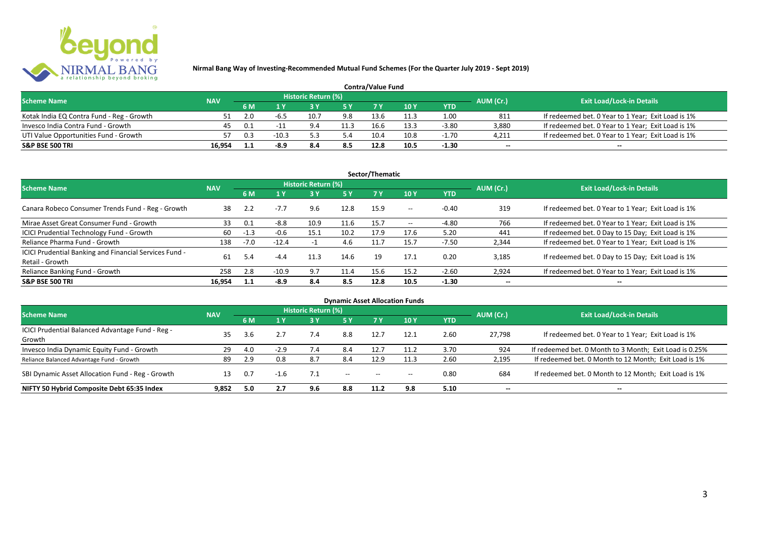

| <b>Contra/Value Fund</b>                  |            |     |         |                     |      |      |      |         |                          |                                                    |  |  |
|-------------------------------------------|------------|-----|---------|---------------------|------|------|------|---------|--------------------------|----------------------------------------------------|--|--|
| <b>Scheme Name</b>                        | <b>NAV</b> |     |         | Historic Return (%) |      |      |      |         | AUM (Cr.)                | <b>Exit Load/Lock-in Details</b>                   |  |  |
|                                           |            | 6 M |         |                     |      |      | 10 Y | YTD     |                          |                                                    |  |  |
| Kotak India EQ Contra Fund - Reg - Growth |            |     | -b.:    | 10.7                | 9.8  | 13.6 |      | 1.00    | 811                      | If redeemed bet. 0 Year to 1 Year; Exit Load is 1% |  |  |
| Invesco India Contra Fund - Growth        | 45         | 0.1 | - 11    |                     | 11.3 | 16.6 | 13.3 | $-3.80$ | 3.880                    | If redeemed bet. 0 Year to 1 Year; Exit Load is 1% |  |  |
| UTI Value Opportunities Fund - Growth     |            | 0.3 | $-10.3$ |                     | 5.4  | 10.4 | 10.8 | $-1.70$ | 4,211                    | If redeemed bet. 0 Year to 1 Year; Exit Load is 1% |  |  |
| <b>S&amp;P BSE 500 TRI</b>                | 16.954     |     | $-8.9$  | 8.4                 | 8.5  | 12.8 | 10.5 | $-1.30$ | $\overline{\phantom{a}}$ | $\qquad \qquad$                                    |  |  |

|                                                                           |            |        |         |                     |           | Sector/Thematic |       |            |                          |                                                    |
|---------------------------------------------------------------------------|------------|--------|---------|---------------------|-----------|-----------------|-------|------------|--------------------------|----------------------------------------------------|
| <b>Scheme Name</b>                                                        | <b>NAV</b> |        |         | Historic Return (%) |           |                 |       |            | AUM (Cr.)                | <b>Exit Load/Lock-in Details</b>                   |
|                                                                           |            | 6 M    | 1 Y     | 3 ١                 | <b>5Y</b> | <b>7Y</b>       | 10Y   | <b>YTD</b> |                          |                                                    |
| Canara Robeco Consumer Trends Fund - Reg - Growth                         | 38         | 2.2    | $-7.7$  | 9.6                 | 12.8      | 15.9            | $- -$ | $-0.40$    | 319                      | If redeemed bet. 0 Year to 1 Year; Exit Load is 1% |
| Mirae Asset Great Consumer Fund - Growth                                  | 33         | 0.1    | $-8.8$  | 10.9                | 11.6      | 15.7            | $- -$ | -4.80      | 766                      | If redeemed bet. 0 Year to 1 Year; Exit Load is 1% |
| ICICI Prudential Technology Fund - Growth                                 | 60         | $-1.3$ | $-0.6$  | 15.1                | 10.2      | 17.9            | 17.6  | 5.20       | 441                      | If redeemed bet. 0 Day to 15 Day; Exit Load is 1%  |
| Reliance Pharma Fund - Growth                                             | 138        | $-7.0$ | $-12.4$ |                     | 4.6       | 11.7            | 15.7  | $-7.50$    | 2,344                    | If redeemed bet. 0 Year to 1 Year; Exit Load is 1% |
| ICICI Prudential Banking and Financial Services Fund -<br>Retail - Growth | 61         | 5.4    | $-4.4$  | 11.3                | 14.6      | 19              | 17.1  | 0.20       | 3.185                    | If redeemed bet. 0 Day to 15 Day; Exit Load is 1%  |
| Reliance Banking Fund - Growth                                            | 258        | 2.8    | $-10.9$ | 9.7                 | 11.4      | 15.6            | 15.2  | $-2.60$    | 2,924                    | If redeemed bet. 0 Year to 1 Year; Exit Load is 1% |
| <b>S&amp;P BSE 500 TRI</b>                                                | 16.954     | 1.1    | -8.9    | 8.4                 | 8.5       | 12.8            | 10.5  | $-1.30$    | $\overline{\phantom{a}}$ | $- -$                                              |

|                                                  |            |     |        |                     |                          |      | <b>Dynamic Asset Allocation Funds</b> |            |                          |                                                         |
|--------------------------------------------------|------------|-----|--------|---------------------|--------------------------|------|---------------------------------------|------------|--------------------------|---------------------------------------------------------|
| <b>Scheme Name</b>                               | <b>NAV</b> |     |        | Historic Return (%) |                          |      |                                       |            | AUM (Cr.)                | <b>Exit Load/Lock-in Details</b>                        |
|                                                  |            | 6 M | 1 Y    | 3 Y                 | <b>5Y</b>                |      | 10 Y                                  | <b>YTD</b> |                          |                                                         |
| ICICI Prudential Balanced Advantage Fund - Reg - |            |     |        |                     | 8.8                      |      |                                       | 2.60       |                          |                                                         |
| Growth                                           | 35         | 3.6 |        | 7.4                 |                          | 12.7 | 12.1                                  |            | 27,798                   | If redeemed bet. 0 Year to 1 Year; Exit Load is 1%      |
| Invesco India Dynamic Equity Fund - Growth       | 29         | 4.0 | $-2.9$ | $\sqrt{.4}$         | 8.4                      | 12.7 |                                       | 3.70       | 924                      | If redeemed bet. 0 Month to 3 Month; Exit Load is 0.25% |
| Reliance Balanced Advantage Fund - Growth        | 89         | 2.9 | 0.8    | 8.7                 | 8.4                      | 12.9 | 11.3                                  | 2.60       | 2,195                    | If redeemed bet. 0 Month to 12 Month; Exit Load is 1%   |
| SBI Dynamic Asset Allocation Fund - Reg - Growth | 13         | 0.7 | $-1.6$ | 7.1                 | $\overline{\phantom{a}}$ |      | $\hspace{0.05cm}$ – $\hspace{0.05cm}$ | 0.80       | 684                      | If redeemed bet. 0 Month to 12 Month; Exit Load is 1%   |
| NIFTY 50 Hybrid Composite Debt 65:35 Index       | 9,852      | 5.0 | 2.7    | 9.6                 | 8.8                      | 11.2 | 9.8                                   | 5.10       | $\overline{\phantom{a}}$ | $\!-$                                                   |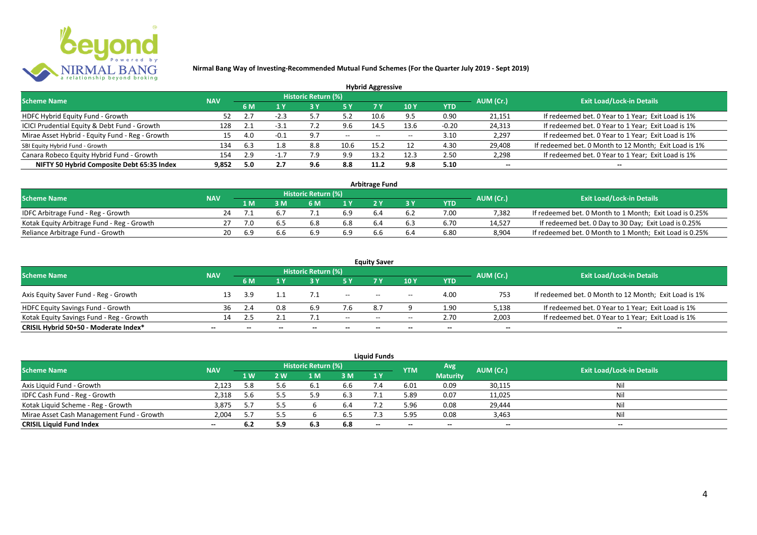

|                                                 |            |     |        |                            |           | <b>Hybrid Aggressive</b> |                          |            |                          |                                                       |
|-------------------------------------------------|------------|-----|--------|----------------------------|-----------|--------------------------|--------------------------|------------|--------------------------|-------------------------------------------------------|
| <b>Scheme Name</b>                              | <b>NAV</b> |     |        | <b>Historic Return (%)</b> |           |                          |                          |            | AUM (Cr.)                | <b>Exit Load/Lock-in Details</b>                      |
|                                                 |            | 6 M | 1 Y    |                            | <b>5Y</b> | 7 Y                      | 10Y                      | <b>YTD</b> |                          |                                                       |
| HDFC Hybrid Equity Fund - Growth                | 52         |     | $-2.3$ |                            | 5.2       | 10.6                     | 9.5                      | 0.90       | 21,151                   | If redeemed bet. 0 Year to 1 Year; Exit Load is 1%    |
| ICICI Prudential Equity & Debt Fund - Growth    | 128        |     | $-3.1$ |                            | 9.6       | 14.5                     | 13.6                     | $-0.20$    | 24,313                   | If redeemed bet. 0 Year to 1 Year; Exit Load is 1%    |
| Mirae Asset Hybrid - Equity Fund - Reg - Growth | 15         | 4.0 | $-0.1$ | - Q 7                      | $--$      | $- -$                    | $\overline{\phantom{a}}$ | 3.10       | 2,297                    | If redeemed bet. 0 Year to 1 Year; Exit Load is 1%    |
| SBI Equity Hybrid Fund - Growth                 | 134        | 6.3 |        | 8.8                        | 10.6      | 15.2                     |                          | 4.30       | 29,408                   | If redeemed bet. 0 Month to 12 Month; Exit Load is 1% |
| Canara Robeco Equity Hybrid Fund - Growth       | 154        | 2.9 |        | '.9                        | 9.9       | 13.2                     | 12.3                     | 2.50       | 2,298                    | If redeemed bet. 0 Year to 1 Year; Exit Load is 1%    |
| NIFTY 50 Hybrid Composite Debt 65:35 Index      | 9.852      | 5.0 | 2.7    | 9.6                        | 8.8       | 11.2                     | 9.8                      | 5.10       | $\overline{\phantom{a}}$ | $\overline{\phantom{a}}$                              |

| <b>Arbitrage Fund</b>                      |            |     |     |                     |     |     |     |            |           |                                                         |  |  |  |
|--------------------------------------------|------------|-----|-----|---------------------|-----|-----|-----|------------|-----------|---------------------------------------------------------|--|--|--|
| <b>Scheme Name</b>                         | <b>NAV</b> |     |     | Historic Return (%) |     |     |     |            | AUM (Cr.) | <b>Exit Load/Lock-in Details</b>                        |  |  |  |
|                                            |            | 1 M |     | 6 M                 |     |     |     | <b>YTD</b> |           |                                                         |  |  |  |
| IDFC Arbitrage Fund - Reg - Growth         | 24         |     |     |                     | 6.9 |     | 6.2 | 7.00       | 7.382     | If redeemed bet. 0 Month to 1 Month; Exit Load is 0.25% |  |  |  |
| Kotak Equity Arbitrage Fund - Reg - Growth |            | 7.0 | b.5 | 6.8                 | 6.8 | 6.4 | 6.3 | 6.70       | 14.527    | If redeemed bet. 0 Day to 30 Day; Exit Load is 0.25%    |  |  |  |
| Reliance Arbitrage Fund - Growth           | 20         | 6.9 |     | 6.9                 | 6.9 |     | 6.4 | 6.80       | 8.904     | If redeemed bet. 0 Month to 1 Month; Exit Load is 0.25% |  |  |  |

|                                          |                          |                          |                          |                     |                                       | <b>Equity Saver</b> |                                       |                          |                          |                                                       |
|------------------------------------------|--------------------------|--------------------------|--------------------------|---------------------|---------------------------------------|---------------------|---------------------------------------|--------------------------|--------------------------|-------------------------------------------------------|
| <b>Scheme Name</b>                       | <b>NAV</b>               |                          |                          | Historic Return (%) |                                       |                     |                                       |                          | AUM (Cr.)                | <b>Exit Load/Lock-in Details</b>                      |
|                                          |                          | <b>6 M</b>               | 1 V                      |                     | 5 Y                                   |                     | 10 Y                                  | <b>YTD</b>               |                          |                                                       |
| Axis Equity Saver Fund - Reg - Growth    |                          | 3.9                      |                          |                     | $\hspace{0.05cm}$ – $\hspace{0.05cm}$ | $- -$               | $- -$                                 | 4.00                     | 753                      | If redeemed bet. 0 Month to 12 Month; Exit Load is 1% |
| <b>HDFC Equity Savings Fund - Growth</b> | 36                       |                          | 0.8                      |                     |                                       |                     |                                       | 1.90                     | 5,138                    | If redeemed bet. 0 Year to 1 Year; Exit Load is 1%    |
| Kotak Equity Savings Fund - Reg - Growth | 14                       | 2.5                      |                          |                     | $- -$                                 | $- -$               | $\hspace{0.05cm}$ – $\hspace{0.05cm}$ | 2.70                     | 2,003                    | If redeemed bet. 0 Year to 1 Year; Exit Load is 1%    |
| CRISIL Hybrid 50+50 - Moderate Index*    | $\overline{\phantom{a}}$ | $\overline{\phantom{a}}$ | $\overline{\phantom{a}}$ | $-$                 | $\overline{\phantom{a}}$              | $- -$               | $- -$                                 | $\overline{\phantom{a}}$ | $\overline{\phantom{a}}$ | $\qquad \qquad$                                       |

| <b>Liquid Funds</b>                       |            |     |     |                     |      |       |            |                 |           |                                  |  |  |  |
|-------------------------------------------|------------|-----|-----|---------------------|------|-------|------------|-----------------|-----------|----------------------------------|--|--|--|
| <b>Scheme Name</b>                        | <b>NAV</b> |     |     | Historic Return (%) |      |       | <b>YTM</b> | Avg             | AUM (Cr.) | <b>Exit Load/Lock-in Details</b> |  |  |  |
|                                           |            | 1 W | 2 W | 1 M                 | 3 M  | 1Y    |            | <b>Maturity</b> |           |                                  |  |  |  |
| Axis Liquid Fund - Growth                 | 2,123      | 5.8 |     |                     | 6.6  |       | 6.01       | 0.09            | 30,115    | Nil                              |  |  |  |
| IDFC Cash Fund - Reg - Growth             | 2,318      | 5.6 |     |                     | 6.3  |       | 5.89       | 0.07            | 11,025    | Nil                              |  |  |  |
| Kotak Liquid Scheme - Reg - Growth        | 3,875      | 5.7 |     |                     | -6.4 |       | 5.96       | 0.08            | 29,444    | Nil                              |  |  |  |
| Mirae Asset Cash Management Fund - Growth | 2,004      | 5.7 |     |                     | 6.5  |       | 5.95       | 0.08            | 3,463     | Nil                              |  |  |  |
| <b>CRISIL Liquid Fund Index</b>           | $\sim$     | 6.2 | 5.9 | 6.3                 | 6.8  | $- -$ | $- -$      | $- -$           | --        | $- -$                            |  |  |  |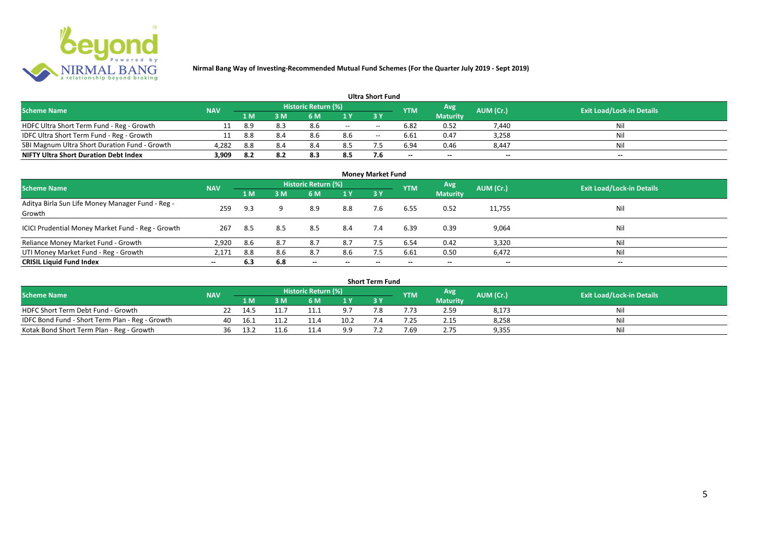

| <b>Ultra Short Fund</b>                       |            |       |     |                            |                          |       |                 |                          |                          |                                  |  |  |  |
|-----------------------------------------------|------------|-------|-----|----------------------------|--------------------------|-------|-----------------|--------------------------|--------------------------|----------------------------------|--|--|--|
| <b>Scheme Name</b>                            | <b>NAV</b> |       |     | <b>Historic Return (%)</b> |                          |       | <b>YTM</b>      | Avg                      | AUM (Cr.)                | <b>Exit Load/Lock-in Details</b> |  |  |  |
|                                               |            | 71 M. | 3 M | 6 M                        |                          | 3 Y   |                 | <b>Maturity</b>          |                          |                                  |  |  |  |
| HDFC Ultra Short Term Fund - Reg - Growth     |            | 8.9   | 8.3 | 8.6                        | $\overline{\phantom{a}}$ | $- -$ | 6.82            | 0.52                     | 7,440                    | Nil                              |  |  |  |
| IDFC Ultra Short Term Fund - Reg - Growth     |            | 8.8   | 8.4 | 8.6                        | 8.6                      | $- -$ | 6.61            | 0.47                     | 3,258                    | Nil                              |  |  |  |
| SBI Magnum Ultra Short Duration Fund - Growth | 4,282      | 8.8   | 8.4 | 8.4                        | 8.5                      |       | 6.94            | 0.46                     | 8,447                    | Nil                              |  |  |  |
| <b>NIFTY Ultra Short Duration Debt Index</b>  | 3,909      | 8.2   | 8.2 | 8.3                        | 8.5                      | 7.6   | $\qquad \qquad$ | $\overline{\phantom{a}}$ | $\overline{\phantom{a}}$ | $\overline{\phantom{a}}$         |  |  |  |

| <b>Money Market Fund</b>                                   |            |     |     |                            |                          |           |            |                 |                          |                                  |  |  |
|------------------------------------------------------------|------------|-----|-----|----------------------------|--------------------------|-----------|------------|-----------------|--------------------------|----------------------------------|--|--|
| <b>Scheme Name</b>                                         | <b>NAV</b> |     |     | <b>Historic Return (%)</b> |                          |           | <b>YTM</b> | Avg             | AUM (Cr.)                | <b>Exit Load/Lock-in Details</b> |  |  |
|                                                            |            | 1 M | 3M  | 6 M                        | 1Y                       | <b>3Y</b> |            | <b>Maturity</b> |                          |                                  |  |  |
| Aditya Birla Sun Life Money Manager Fund - Reg -<br>Growth | 259        | 9.3 | a   | 8.9                        | 8.8                      | 7.6       | 6.55       | 0.52            | 11,755                   | Nil                              |  |  |
| ICICI Prudential Money Market Fund - Reg - Growth          | 267        | 8.5 | 8.5 | 8.5                        | 8.4                      | 7.4       | 6.39       | 0.39            | 9,064                    | Nil                              |  |  |
| Reliance Money Market Fund - Growth                        | 2,920      | 8.6 | 8.7 | 8.7                        | 8.7                      |           | 6.54       | 0.42            | 3,320                    | Nil                              |  |  |
| UTI Money Market Fund - Reg - Growth                       | 2,171      | 8.8 | 8.6 | 8.7                        | 8.6                      | 7.5       | 6.61       | 0.50            | 6,472                    | Nil                              |  |  |
| <b>CRISIL Liquid Fund Index</b>                            | $- -$      | 6.3 | 6.8 | $\overline{\phantom{a}}$   | $\overline{\phantom{a}}$ | $- -$     | $\!-$      | $\sim$          | $\overline{\phantom{a}}$ | $\overline{\phantom{a}}$         |  |  |

| Short Term Fund                                 |            |       |      |                     |      |     |            |                 |           |                                  |  |  |  |
|-------------------------------------------------|------------|-------|------|---------------------|------|-----|------------|-----------------|-----------|----------------------------------|--|--|--|
| <b>Scheme Name</b>                              | <b>NAV</b> |       |      | Historic Return (%) |      |     | <b>YTM</b> | Avg             | AUM (Cr.) | <b>Exit Load/Lock-in Details</b> |  |  |  |
|                                                 |            | 1 M   |      | 6 M                 | 1 V  |     |            | <b>Maturity</b> |           |                                  |  |  |  |
| HDFC Short Term Debt Fund - Growth              |            | 14.5  |      | 11.1                | οT   | ה − |            | 2.59            | 8,173     | Nil                              |  |  |  |
| IDFC Bond Fund - Short Term Plan - Reg - Growth | 40         | 16. L |      | 11.4                | 10.2 |     | .25        | 2.15            | 8,258     | Nil                              |  |  |  |
| Kotak Bond Short Term Plan - Reg - Growth       | 36         | 13.2  | 11.6 |                     | a a  |     | 7.69       | 2.75            | 9,355     | Nil                              |  |  |  |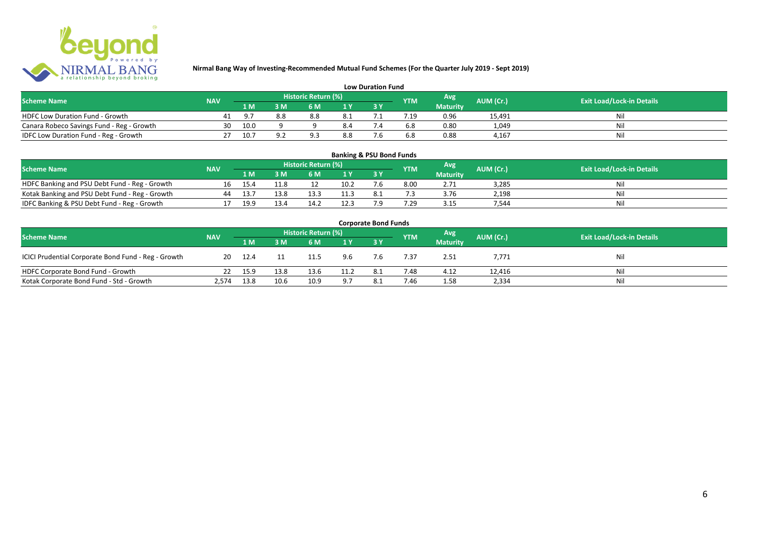

| <b>Low Duration Fund</b>                  |            |      |          |                     |     |  |            |                 |           |                                  |  |  |  |
|-------------------------------------------|------------|------|----------|---------------------|-----|--|------------|-----------------|-----------|----------------------------------|--|--|--|
| <b>Scheme Name</b>                        | <b>NAV</b> |      |          | Historic Return (%) |     |  | <b>YTM</b> | Avg             | AUM (Cr.) | <b>Exit Load/Lock-in Details</b> |  |  |  |
|                                           |            | 1 M  |          | 6 M                 |     |  |            | <b>Maturity</b> |           |                                  |  |  |  |
| <b>HDFC Low Duration Fund - Growth</b>    |            |      | 8.8      | 8.8                 | 8.1 |  |            | 0.96            | 15,491    | Nli                              |  |  |  |
| Canara Robeco Savings Fund - Reg - Growth | 30         | 10.0 |          |                     | 8.4 |  | 6.8        | 0.80            | 1,049     | Ni                               |  |  |  |
| IDFC Low Duration Fund - Reg - Growth     |            | 10.7 | $\Omega$ |                     | 8.8 |  | 6.8        | 0.88            | 4.167     |                                  |  |  |  |

#### **1 M 3 M 6 M 1 Y 3 Y** Notak Banking and PSU Debt Fund - Reg - Growth 16 15.4 11.8 12 10.2 7.6 8.00 2.71 3,285 Nil<br>
Kotak Banking and PSU Debt Fund - Reg - Growth 16 13.7 13.8 13.3 11.3 8.1 7.3 3.76 2,198 Nil Notak Banking and PSU Debt Fund - Reg - Growth <br>
199 13.8 13.3 11.3 8.1 1.3 3.76 2,198 13.4 17 19.9 13.4 14.2 12.3 7.9 7.29 3.15 7,544 11.3 11.3 11.3 11.3 11.3 IDFC Banking & PSU Debt Fund - Reg - Growth 17 19.9 13.4 14.2 12.3 7.9 7.29 3.15 7,544 **Banking & PSU Bond Funds Scheme Name NAV REGISTER AUM (Cr.) AUM (Cr.)** Exit Load/Lock-in Details **Historic Return (%) Maturity**

| <b>Corporate Bond Funds</b>                         |            |      |      |                     |      |      |            |                 |           |                                  |  |  |  |
|-----------------------------------------------------|------------|------|------|---------------------|------|------|------------|-----------------|-----------|----------------------------------|--|--|--|
| <b>Scheme Name</b>                                  | <b>NAV</b> |      |      | Historic Return (%) |      |      | <b>YTM</b> | Avg             | AUM (Cr.) | <b>Exit Load/Lock-in Details</b> |  |  |  |
|                                                     |            | 1 M  | 3 M  | 6 M                 | 1 Y  | 73 Y |            | <b>Maturity</b> |           |                                  |  |  |  |
| ICICI Prudential Corporate Bond Fund - Reg - Growth | 20         | 12.4 |      | 11.5                | 9.6  | 7.6  | 7.37       | 2.51            | 7,771     | Nil                              |  |  |  |
| HDFC Corporate Bond Fund - Growth                   |            | 15.9 | 13.8 | 13.6                | 11.2 | 8.1  | 7.48       | 4.12            | 12,416    | Nil                              |  |  |  |
| Kotak Corporate Bond Fund - Std - Growth            | 2,574      | 13.8 | 10.6 | 10.9                | 9.7  | 8.1  | 7.46       | 1.58            | 2,334     | Nil                              |  |  |  |